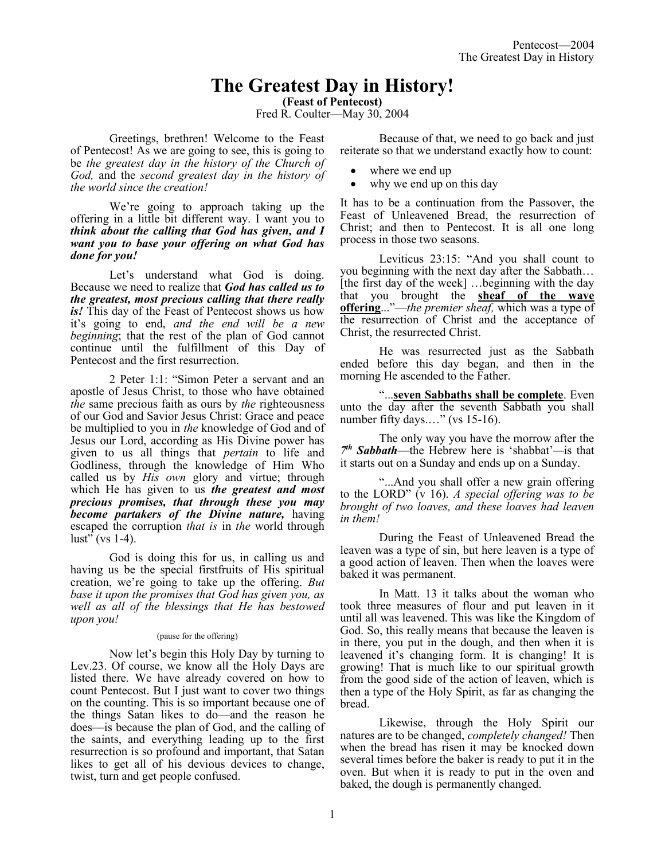# **The Greatest Day in History!**

**(Feast of Pentecost)**

Fred R. Coulter—May 30, 2004

Greetings, brethren! Welcome to the Feast of Pentecost! As we are going to see, this is going to be *the greatest day in the history of the Church of God,* and the *second greatest day in the history of the world since the creation!* 

We're going to approach taking up the offering in a little bit different way. I want you to *think about the calling that God has given, and I want you to base your offering on what God has done for you!*

Let's understand what God is doing. Because we need to realize that *God has called us to the greatest, most precious calling that there really is!* This day of the Feast of Pentecost shows us how it's going to end, *and the end will be a new beginning*; that the rest of the plan of God cannot continue until the fulfillment of this Day of Pentecost and the first resurrection.

2 Peter 1:1: "Simon Peter a servant and an apostle of Jesus Christ, to those who have obtained *the* same precious faith as ours by *the* righteousness of our God and Savior Jesus Christ: Grace and peace be multiplied to you in *the* knowledge of God and of Jesus our Lord, according as His Divine power has given to us all things that *pertain* to life and Godliness, through the knowledge of Him Who called us by *His own* glory and virtue; through which He has given to us *the greatest and most precious promises, that through these you may become partakers of the Divine nature,* having escaped the corruption *that is* in *the* world through  $\text{lust}$ " (vs 1-4).

God is doing this for us, in calling us and having us be the special firstfruits of His spiritual creation, we're going to take up the offering. *But base it upon the promises that God has given you, as well as all of the blessings that He has bestowed upon you!*

#### (pause for the offering)

Now let's begin this Holy Day by turning to Lev.23. Of course, we know all the Holy Days are listed there. We have already covered on how to count Pentecost. But I just want to cover two things on the counting. This is so important because one of the things Satan likes to do—and the reason he does—is because the plan of God, and the calling of the saints, and everything leading up to the first resurrection is so profound and important, that Satan likes to get all of his devious devices to change, twist, turn and get people confused.

Because of that, we need to go back and just reiterate so that we understand exactly how to count:

- where we end up
- why we end up on this day

It has to be a continuation from the Passover, the Feast of Unleavened Bread, the resurrection of Christ; and then to Pentecost. It is all one long process in those two seasons.

Leviticus 23:15: "And you shall count to you beginning with the next day after the Sabbath… [the first day of the week] …beginning with the day that you brought the **sheaf of the wave offering**..."—*the premier sheaf,* which was a type of the resurrection of Christ and the acceptance of Christ, the resurrected Christ.

He was resurrected just as the Sabbath ended before this day began, and then in the morning He ascended to the Father.

"...**seven Sabbaths shall be complete**. Even unto the day after the seventh Sabbath you shall number fifty days...." (vs 15-16).

The only way you have the morrow after the *7 th Sabbath*—the Hebrew here is 'shabbat'*—*is that it starts out on a Sunday and ends up on a Sunday.

"...And you shall offer a new grain offering to the LORD" (v 16). *A special offering was to be brought of two loaves, and these loaves had leaven in them!*

During the Feast of Unleavened Bread the leaven was a type of sin, but here leaven is a type of a good action of leaven. Then when the loaves were baked it was permanent.

In Matt. 13 it talks about the woman who took three measures of flour and put leaven in it until all was leavened. This was like the Kingdom of God. So, this really means that because the leaven is in there, you put in the dough, and then when it is leavened it's changing form. It is changing! It is growing! That is much like to our spiritual growth from the good side of the action of leaven, which is then a type of the Holy Spirit, as far as changing the bread.

Likewise, through the Holy Spirit our natures are to be changed, *completely changed!* Then when the bread has risen it may be knocked down several times before the baker is ready to put it in the oven. But when it is ready to put in the oven and baked, the dough is permanently changed.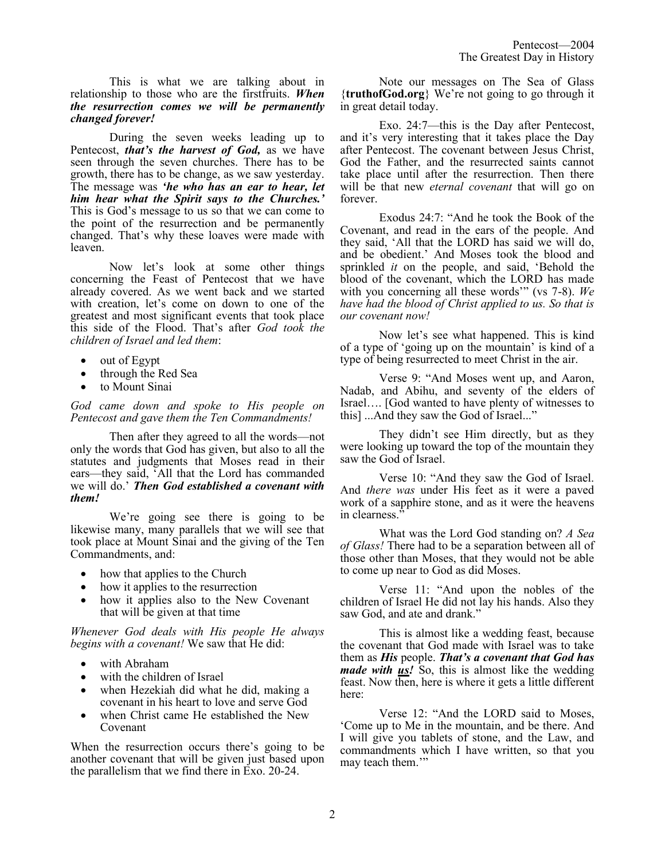This is what we are talking about in relationship to those who are the firstfruits. *When the resurrection comes we will be permanently changed forever!* 

During the seven weeks leading up to Pentecost, *that's the harvest of God,* as we have seen through the seven churches. There has to be growth, there has to be change, as we saw yesterday. The message was *'he who has an ear to hear, let him hear what the Spirit says to the Churches.'*  This is God's message to us so that we can come to the point of the resurrection and be permanently changed. That's why these loaves were made with leaven.

Now let's look at some other things concerning the Feast of Pentecost that we have already covered. As we went back and we started with creation, let's come on down to one of the greatest and most significant events that took place this side of the Flood. That's after *God took the children of Israel and led them*:

- out of Egypt
- through the Red Sea
- to Mount Sinai

*God came down and spoke to His people on Pentecost and gave them the Ten Commandments!* 

Then after they agreed to all the words—not only the words that God has given, but also to all the statutes and judgments that Moses read in their ears—they said, 'All that the Lord has commanded we will do.' *Then God established a covenant with them!* 

We're going see there is going to be likewise many, many parallels that we will see that took place at Mount Sinai and the giving of the Ten Commandments, and:

- how that applies to the Church
- how it applies to the resurrection
- how it applies also to the New Covenant that will be given at that time

*Whenever God deals with His people He always begins with a covenant!* We saw that He did:

- with Abraham
- with the children of Israel
- when Hezekiah did what he did, making a covenant in his heart to love and serve God
- when Christ came He established the New Covenant

When the resurrection occurs there's going to be another covenant that will be given just based upon the parallelism that we find there in Exo. 20-24.

Note our messages on The Sea of Glass {**truthofGod.org**} We're not going to go through it in great detail today.

Exo. 24:7—this is the Day after Pentecost, and it's very interesting that it takes place the Day after Pentecost. The covenant between Jesus Christ, God the Father, and the resurrected saints cannot take place until after the resurrection. Then there will be that new *eternal covenant* that will go on forever.

Exodus 24:7: "And he took the Book of the Covenant, and read in the ears of the people. And they said, 'All that the LORD has said we will do, and be obedient.' And Moses took the blood and sprinkled *it* on the people, and said, 'Behold the blood of the covenant, which the LORD has made with you concerning all these words'" (vs 7-8). *We have had the blood of Christ applied to us. So that is our covenant now!*

Now let's see what happened. This is kind of a type of 'going up on the mountain' is kind of a type of being resurrected to meet Christ in the air.

Verse 9: "And Moses went up, and Aaron, Nadab, and Abihu, and seventy of the elders of Israel…. [God wanted to have plenty of witnesses to this] ...And they saw the God of Israel..."

They didn't see Him directly, but as they were looking up toward the top of the mountain they saw the God of Israel.

Verse 10: "And they saw the God of Israel. And *there was* under His feet as it were a paved work of a sapphire stone, and as it were the heavens in clearness.'

What was the Lord God standing on? *A Sea of Glass!* There had to be a separation between all of those other than Moses, that they would not be able to come up near to God as did Moses.

Verse 11: "And upon the nobles of the children of Israel He did not lay his hands. Also they saw God, and ate and drank."

This is almost like a wedding feast, because the covenant that God made with Israel was to take them as *His* people. *That's a covenant that God has made with us!* So, this is almost like the wedding feast. Now then, here is where it gets a little different here:

Verse 12: "And the LORD said to Moses, 'Come up to Me in the mountain, and be there. And I will give you tablets of stone, and the Law, and commandments which I have written, so that you may teach them.'"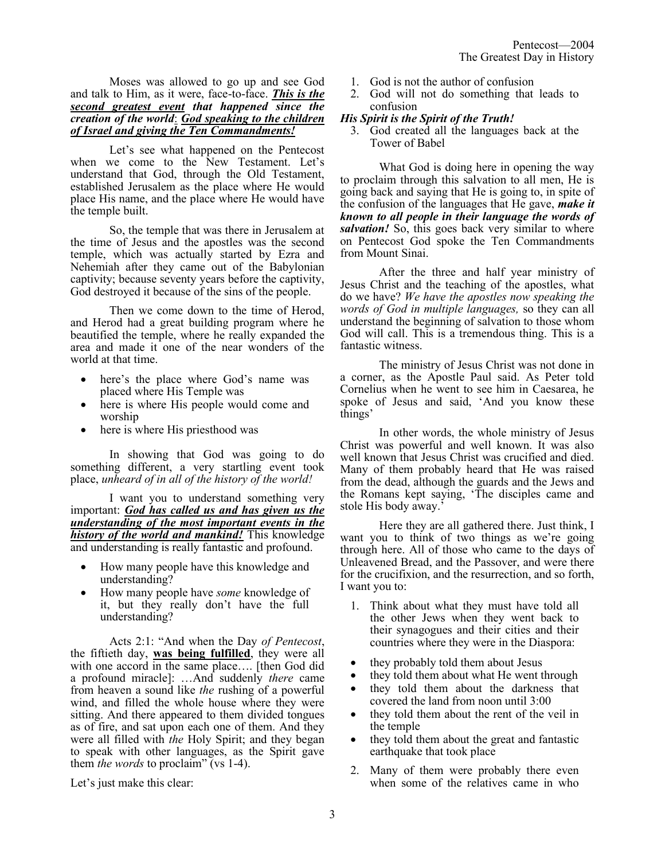Moses was allowed to go up and see God and talk to Him, as it were, face-to-face. *This is the second greatest event that happened since the creation of the world*: *God speaking to the children of Israel and giving the Ten Commandments!*

Let's see what happened on the Pentecost when we come to the New Testament. Let's understand that God, through the Old Testament, established Jerusalem as the place where He would place His name, and the place where He would have the temple built.

So, the temple that was there in Jerusalem at the time of Jesus and the apostles was the second temple, which was actually started by Ezra and Nehemiah after they came out of the Babylonian captivity; because seventy years before the captivity, God destroyed it because of the sins of the people.

Then we come down to the time of Herod, and Herod had a great building program where he beautified the temple, where he really expanded the area and made it one of the near wonders of the world at that time.

- here's the place where God's name was placed where His Temple was
- here is where His people would come and worship
- here is where His priesthood was

In showing that God was going to do something different, a very startling event took place, *unheard of in all of the history of the world!*

I want you to understand something very important: *God has called us and has given us the understanding of the most important events in the history of the world and mankind!* This knowledge and understanding is really fantastic and profound.

- How many people have this knowledge and understanding?
- How many people have *some* knowledge of it, but they really don't have the full understanding?

Acts 2:1: "And when the Day *of Pentecost*, the fiftieth day, **was being fulfilled**, they were all with one accord in the same place.... [then God did a profound miracle]: …And suddenly *there* came from heaven a sound like *the* rushing of a powerful wind, and filled the whole house where they were sitting. And there appeared to them divided tongues as of fire, and sat upon each one of them. And they were all filled with *the* Holy Spirit; and they began to speak with other languages, as the Spirit gave them *the words* to proclaim" (vs 1-4).

Let's just make this clear:

- 1. God is not the author of confusion
- 2. God will not do something that leads to confusion

# *His Spirit is the Spirit of the Truth!*

3. God created all the languages back at the Tower of Babel

What God is doing here in opening the way to proclaim through this salvation to all men, He is going back and saying that He is going to, in spite of the confusion of the languages that He gave, *make it known to all people in their language the words of salvation!* So, this goes back very similar to where on Pentecost God spoke the Ten Commandments from Mount Sinai.

After the three and half year ministry of Jesus Christ and the teaching of the apostles, what do we have? *We have the apostles now speaking the words of God in multiple languages,* so they can all understand the beginning of salvation to those whom God will call. This is a tremendous thing. This is a fantastic witness.

The ministry of Jesus Christ was not done in a corner, as the Apostle Paul said. As Peter told Cornelius when he went to see him in Caesarea, he spoke of Jesus and said, 'And you know these things'

In other words, the whole ministry of Jesus Christ was powerful and well known. It was also well known that Jesus Christ was crucified and died. Many of them probably heard that He was raised from the dead, although the guards and the Jews and the Romans kept saying, 'The disciples came and stole His body away.'

Here they are all gathered there. Just think, I want you to think of two things as we're going through here. All of those who came to the days of Unleavened Bread, and the Passover, and were there for the crucifixion, and the resurrection, and so forth, I want you to:

- 1. Think about what they must have told all the other Jews when they went back to their synagogues and their cities and their countries where they were in the Diaspora:
- they probably told them about Jesus
- they told them about what He went through
- they told them about the darkness that covered the land from noon until 3:00
- they told them about the rent of the veil in the temple
- they told them about the great and fantastic earthquake that took place
- 2. Many of them were probably there even when some of the relatives came in who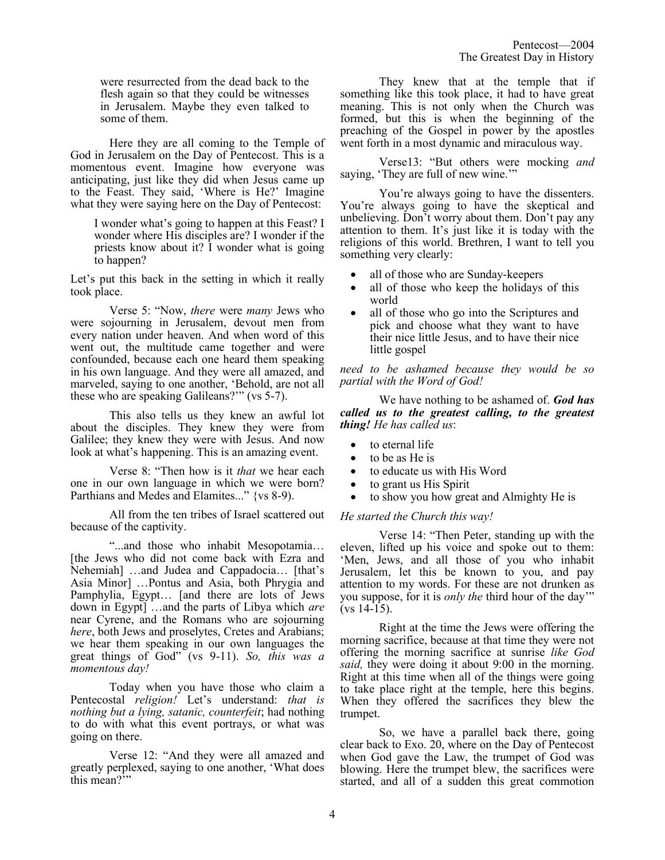were resurrected from the dead back to the flesh again so that they could be witnesses in Jerusalem. Maybe they even talked to some of them.

Here they are all coming to the Temple of God in Jerusalem on the Day of Pentecost. This is a momentous event. Imagine how everyone was anticipating, just like they did when Jesus came up to the Feast. They said, 'Where is He?' Imagine what they were saying here on the Day of Pentecost:

I wonder what's going to happen at this Feast? I wonder where His disciples are? I wonder if the priests know about it? I wonder what is going to happen?

Let's put this back in the setting in which it really took place.

Verse 5: "Now, *there* were *many* Jews who were sojourning in Jerusalem, devout men from every nation under heaven. And when word of this went out, the multitude came together and were confounded, because each one heard them speaking in his own language. And they were all amazed, and marveled, saying to one another, 'Behold, are not all these who are speaking Galileans?'" (vs 5-7).

This also tells us they knew an awful lot about the disciples. They knew they were from Galilee; they knew they were with Jesus. And now look at what's happening. This is an amazing event.

Verse 8: "Then how is it *that* we hear each one in our own language in which we were born? Parthians and Medes and Elamites..." {vs 8-9).

All from the ten tribes of Israel scattered out because of the captivity.

"...and those who inhabit Mesopotamia… [the Jews who did not come back with Ezra and Nehemiah] …and Judea and Cappadocia… [that's Asia Minor] …Pontus and Asia, both Phrygia and Pamphylia, Egypt… [and there are lots of Jews down in Egypt] …and the parts of Libya which *are*  near Cyrene, and the Romans who are sojourning *here*, both Jews and proselytes, Cretes and Arabians; we hear them speaking in our own languages the great things of God" (vs 9-11). *So, this was a momentous day!*

Today when you have those who claim a Pentecostal *religion!* Let's understand: *that is nothing but a lying, satanic, counterfeit*; had nothing to do with what this event portrays, or what was going on there.

Verse 12: "And they were all amazed and greatly perplexed, saying to one another, 'What does this mean?"

They knew that at the temple that if something like this took place, it had to have great meaning. This is not only when the Church was formed, but this is when the beginning of the preaching of the Gospel in power by the apostles went forth in a most dynamic and miraculous way.

Verse13: "But others were mocking *and* saying, 'They are full of new wine.'"

You're always going to have the dissenters. You're always going to have the skeptical and unbelieving. Don't worry about them. Don't pay any attention to them. It's just like it is today with the religions of this world. Brethren, I want to tell you something very clearly:

- all of those who are Sunday-keepers
- all of those who keep the holidays of this world
- all of those who go into the Scriptures and pick and choose what they want to have their nice little Jesus, and to have their nice little gospel

*need to be ashamed because they would be so partial with the Word of God!*

We have nothing to be ashamed of. *God has called us to the greatest calling, to the greatest thing! He has called us*:

- to eternal life
- to be as He is
- to educate us with His Word
- to grant us His Spirit
- to show you how great and Almighty He is

### *He started the Church this way!*

Verse 14: "Then Peter, standing up with the eleven, lifted up his voice and spoke out to them: 'Men, Jews, and all those of you who inhabit Jerusalem, let this be known to you, and pay attention to my words. For these are not drunken as you suppose, for it is *only the* third hour of the day'"  $(vs 14-15)$ .

Right at the time the Jews were offering the morning sacrifice, because at that time they were not offering the morning sacrifice at sunrise *like God said,* they were doing it about 9:00 in the morning. Right at this time when all of the things were going to take place right at the temple, here this begins. When they offered the sacrifices they blew the trumpet.

So, we have a parallel back there, going clear back to Exo. 20, where on the Day of Pentecost when God gave the Law, the trumpet of God was blowing. Here the trumpet blew, the sacrifices were started, and all of a sudden this great commotion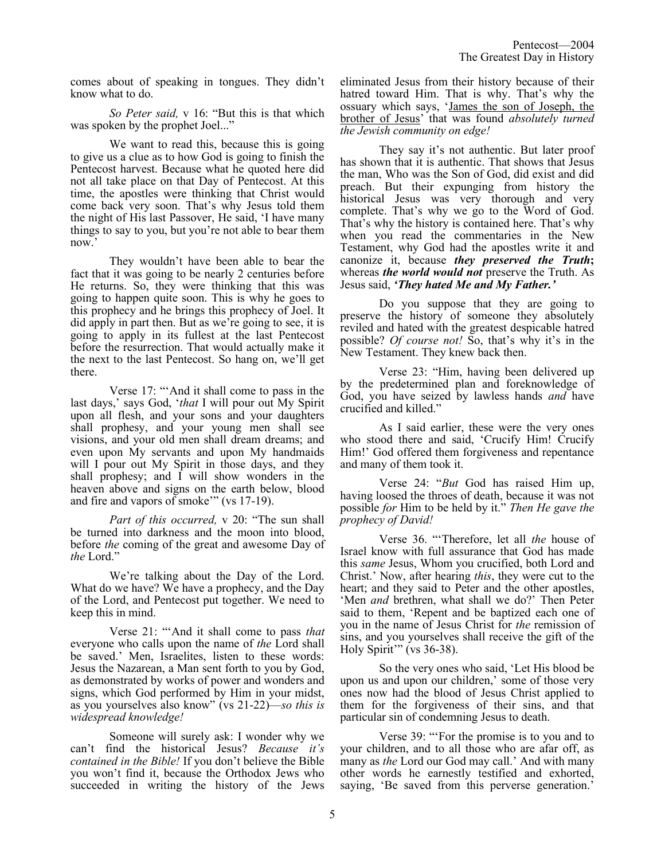comes about of speaking in tongues. They didn't know what to do.

*So Peter said,* v 16: "But this is that which was spoken by the prophet Joel..."

We want to read this, because this is going to give us a clue as to how God is going to finish the Pentecost harvest. Because what he quoted here did not all take place on that Day of Pentecost. At this time, the apostles were thinking that Christ would come back very soon. That's why Jesus told them the night of His last Passover, He said, 'I have many things to say to you, but you're not able to bear them now.'

They wouldn't have been able to bear the fact that it was going to be nearly 2 centuries before He returns. So, they were thinking that this was going to happen quite soon. This is why he goes to this prophecy and he brings this prophecy of Joel. It did apply in part then. But as we're going to see, it is going to apply in its fullest at the last Pentecost before the resurrection. That would actually make it the next to the last Pentecost. So hang on, we'll get there.

Verse 17: "'And it shall come to pass in the last days,' says God, '*that* I will pour out My Spirit upon all flesh, and your sons and your daughters shall prophesy, and your young men shall see visions, and your old men shall dream dreams; and even upon My servants and upon My handmaids will I pour out My Spirit in those days, and they shall prophesy; and  $\overline{I}$  will show wonders in the heaven above and signs on the earth below, blood and fire and vapors of smoke'" (vs 17-19).

*Part of this occurred,* v 20: "The sun shall be turned into darkness and the moon into blood, before *the* coming of the great and awesome Day of *the* Lord."

We're talking about the Day of the Lord. What do we have? We have a prophecy, and the Day of the Lord, and Pentecost put together. We need to keep this in mind.

Verse 21: "'And it shall come to pass *that* everyone who calls upon the name of *the* Lord shall be saved.' Men, Israelites, listen to these words: Jesus the Nazarean, a Man sent forth to you by God, as demonstrated by works of power and wonders and signs, which God performed by Him in your midst, as you yourselves also know" (vs 21-22)—*so this is widespread knowledge!*

Someone will surely ask: I wonder why we can't find the historical Jesus? *Because it's contained in the Bible!* If you don't believe the Bible you won't find it, because the Orthodox Jews who succeeded in writing the history of the Jews eliminated Jesus from their history because of their hatred toward Him. That is why. That's why the ossuary which says, 'James the son of Joseph, the brother of Jesus' that was found *absolutely turned the Jewish community on edge!*

They say it's not authentic. But later proof has shown that it is authentic. That shows that Jesus the man, Who was the Son of God, did exist and did preach. But their expunging from history the historical Jesus was very thorough and very complete. That's why we go to the Word of God. That's why the history is contained here. That's why when you read the commentaries in the New Testament, why God had the apostles write it and canonize it, because *they preserved the Truth***;** whereas *the world would not* preserve the Truth. As Jesus said, *'They hated Me and My Father.'*

Do you suppose that they are going to preserve the history of someone they absolutely reviled and hated with the greatest despicable hatred possible? *Of course not!* So, that's why it's in the New Testament. They knew back then.

Verse 23: "Him, having been delivered up by the predetermined plan and foreknowledge of God, you have seized by lawless hands *and* have crucified and killed."

As I said earlier, these were the very ones who stood there and said, 'Crucify Him! Crucify Him!' God offered them forgiveness and repentance and many of them took it.

Verse 24: "*But* God has raised Him up, having loosed the throes of death, because it was not possible *for* Him to be held by it." *Then He gave the prophecy of David!*

Verse 36. "'Therefore, let all *the* house of Israel know with full assurance that God has made this *same* Jesus, Whom you crucified, both Lord and Christ.' Now, after hearing *this*, they were cut to the heart; and they said to Peter and the other apostles, 'Men *and* brethren, what shall we do?' Then Peter said to them, 'Repent and be baptized each one of you in the name of Jesus Christ for *the* remission of sins, and you yourselves shall receive the gift of the Holy Spirit'" (vs 36-38).

So the very ones who said, 'Let His blood be upon us and upon our children,' some of those very ones now had the blood of Jesus Christ applied to them for the forgiveness of their sins, and that particular sin of condemning Jesus to death.

Verse 39: "'For the promise is to you and to your children, and to all those who are afar off, as many as *the* Lord our God may call.' And with many other words he earnestly testified and exhorted, saying, 'Be saved from this perverse generation.'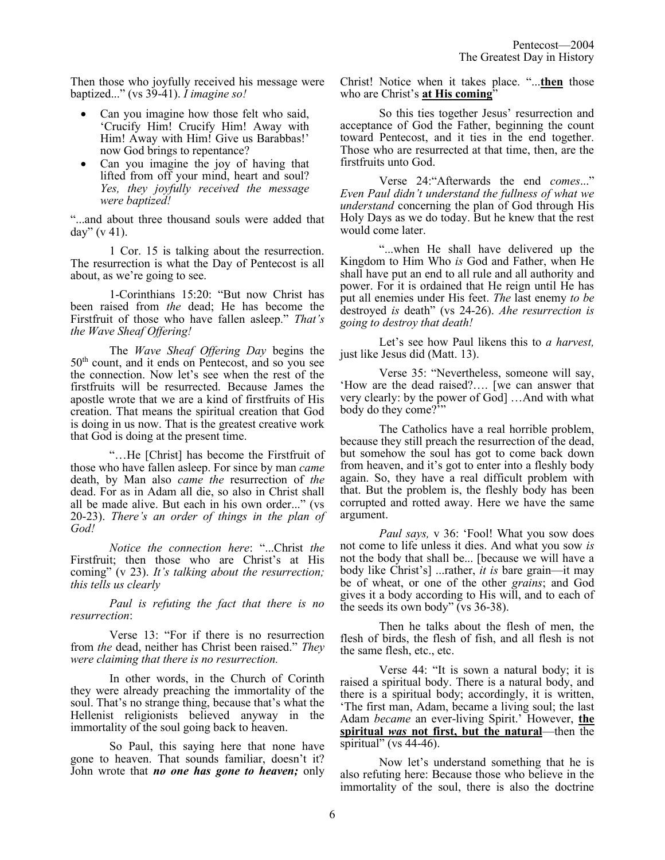Then those who joyfully received his message were baptized..." (vs 39-41). *I imagine so!* 

- Can you imagine how those felt who said, 'Crucify Him! Crucify Him! Away with Him! Away with Him! Give us Barabbas!' now God brings to repentance?
- Can you imagine the joy of having that lifted from off your mind, heart and soul? *Yes, they joyfully received the message were baptized!*

"...and about three thousand souls were added that day"  $(v 41)$ .

1 Cor. 15 is talking about the resurrection. The resurrection is what the Day of Pentecost is all about, as we're going to see.

1-Corinthians 15:20: "But now Christ has been raised from *the* dead; He has become the Firstfruit of those who have fallen asleep." *That's the Wave Sheaf Offering!*

The *Wave Sheaf Offering Day* begins the 50th count, and it ends on Pentecost, and so you see the connection. Now let's see when the rest of the firstfruits will be resurrected. Because James the apostle wrote that we are a kind of firstfruits of His creation. That means the spiritual creation that God is doing in us now. That is the greatest creative work that God is doing at the present time.

"…He [Christ] has become the Firstfruit of those who have fallen asleep. For since by man *came* death, by Man also *came the* resurrection of *the* dead. For as in Adam all die, so also in Christ shall all be made alive. But each in his own order..." (vs 20-23). *There's an order of things in the plan of God!*

*Notice the connection here*: "...Christ *the* Firstfruit; then those who are Christ's at His coming" (v 23). *It's talking about the resurrection; this tells us clearly*

*Paul is refuting the fact that there is no resurrection*:

Verse 13: "For if there is no resurrection from *the* dead, neither has Christ been raised." *They were claiming that there is no resurrection.*

In other words, in the Church of Corinth they were already preaching the immortality of the soul. That's no strange thing, because that's what the Hellenist religionists believed anyway in the immortality of the soul going back to heaven.

So Paul, this saying here that none have gone to heaven. That sounds familiar, doesn't it? John wrote that *no one has gone to heaven;* only Christ! Notice when it takes place. "...**then** those who are Christ's **at His coming**"

So this ties together Jesus' resurrection and acceptance of God the Father, beginning the count toward Pentecost, and it ties in the end together. Those who are resurrected at that time, then, are the firstfruits unto God.

Verse 24:"Afterwards the end *comes*..." *Even Paul didn't understand the fullness of what we understand* concerning the plan of God through His Holy Days as we do today. But he knew that the rest would come later.

"...when He shall have delivered up the Kingdom to Him Who *is* God and Father, when He shall have put an end to all rule and all authority and power. For it is ordained that He reign until He has put all enemies under His feet. *The* last enemy *to be* destroyed *is* death" (vs 24-26). *Ahe resurrection is going to destroy that death!*

Let's see how Paul likens this to *a harvest,* just like Jesus did (Matt. 13).

Verse 35: "Nevertheless, someone will say, 'How are the dead raised?…. [we can answer that very clearly: by the power of God] …And with what body do they come?'"

The Catholics have a real horrible problem, because they still preach the resurrection of the dead, but somehow the soul has got to come back down from heaven, and it's got to enter into a fleshly body again. So, they have a real difficult problem with that. But the problem is, the fleshly body has been corrupted and rotted away. Here we have the same argument.

*Paul says,* v 36: 'Fool! What you sow does not come to life unless it dies. And what you sow *is* not the body that shall be... [because we will have a body like Christ's] ...rather, *it is* bare grain—it may be of wheat, or one of the other *grains*; and God gives it a body according to His will, and to each of the seeds its own body" (vs  $36-38$ ).

Then he talks about the flesh of men, the flesh of birds, the flesh of fish, and all flesh is not the same flesh, etc., etc.

Verse 44: "It is sown a natural body; it is raised a spiritual body. There is a natural body, and there is a spiritual body; accordingly, it is written, 'The first man, Adam, became a living soul; the last Adam *became* an ever-living Spirit.' However, **the spiritual** *was* **not first, but the natural**—then the spiritual" (vs  $44-46$ ).

Now let's understand something that he is also refuting here: Because those who believe in the immortality of the soul, there is also the doctrine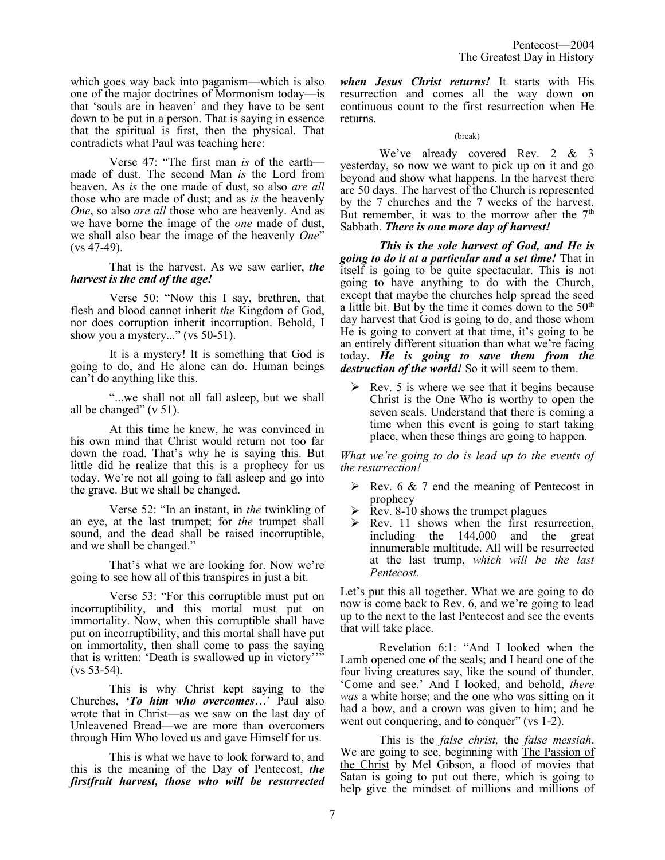which goes way back into paganism—which is also one of the major doctrines of Mormonism today—is that 'souls are in heaven' and they have to be sent down to be put in a person. That is saying in essence that the spiritual is first, then the physical. That contradicts what Paul was teaching here:

Verse 47: "The first man *is* of the earth made of dust. The second Man *is* the Lord from heaven. As *is* the one made of dust, so also *are all* those who are made of dust; and as *is* the heavenly *One*, so also *are all* those who are heavenly. And as we have borne the image of the *one* made of dust, we shall also bear the image of the heavenly *One*" (vs 47-49).

That is the harvest. As we saw earlier, *the harvest is the end of the age!*

Verse 50: "Now this I say, brethren, that flesh and blood cannot inherit *the* Kingdom of God, nor does corruption inherit incorruption. Behold, I show you a mystery..." (vs 50-51).

It is a mystery! It is something that God is going to do, and He alone can do. Human beings can't do anything like this.

"...we shall not all fall asleep, but we shall all be changed"  $(v 51)$ .

At this time he knew, he was convinced in his own mind that Christ would return not too far down the road. That's why he is saying this. But little did he realize that this is a prophecy for us today. We're not all going to fall asleep and go into the grave. But we shall be changed.

Verse 52: "In an instant, in *the* twinkling of an eye, at the last trumpet; for *the* trumpet shall sound, and the dead shall be raised incorruptible, and we shall be changed."

That's what we are looking for. Now we're going to see how all of this transpires in just a bit.

Verse 53: "For this corruptible must put on incorruptibility, and this mortal must put on immortality. Now, when this corruptible shall have put on incorruptibility, and this mortal shall have put on immortality, then shall come to pass the saying that is written: 'Death is swallowed up in victory'" (vs 53-54).

This is why Christ kept saying to the Churches, *'To him who overcomes*…' Paul also wrote that in Christ—as we saw on the last day of Unleavened Bread—we are more than overcomers through Him Who loved us and gave Himself for us.

This is what we have to look forward to, and this is the meaning of the Day of Pentecost, *the firstfruit harvest, those who will be resurrected* 

*when Jesus Christ returns!* It starts with His resurrection and comes all the way down on continuous count to the first resurrection when He returns.

#### (break)

We've already covered Rev. 2 & 3 yesterday, so now we want to pick up on it and go beyond and show what happens. In the harvest there are 50 days. The harvest of the Church is represented by the 7 churches and the 7 weeks of the harvest. But remember, it was to the morrow after the  $7<sup>th</sup>$ Sabbath. *There is one more day of harvest!* 

*This is the sole harvest of God, and He is going to do it at a particular and a set time!* That in itself is going to be quite spectacular. This is not going to have anything to do with the Church, except that maybe the churches help spread the seed a little bit. But by the time it comes down to the  $50<sup>th</sup>$ day harvest that God is going to do, and those whom He is going to convert at that time, it's going to be an entirely different situation than what we're facing today. *He is going to save them from the destruction of the world!* So it will seem to them.

 $\triangleright$  Rev. 5 is where we see that it begins because Christ is the One Who is worthy to open the seven seals. Understand that there is coming a time when this event is going to start taking place, when these things are going to happen.

*What we're going to do is lead up to the events of the resurrection!* 

- $\triangleright$  Rev. 6 & 7 end the meaning of Pentecost in prophecy
- ➢ Rev. 8-10 shows the trumpet plagues
- $\triangleright$  Rev. 11 shows when the first resurrection, including the 144,000 and the great innumerable multitude. All will be resurrected at the last trump, *which will be the last Pentecost.*

Let's put this all together. What we are going to do now is come back to Rev. 6, and we're going to lead up to the next to the last Pentecost and see the events that will take place.

Revelation 6:1: "And I looked when the Lamb opened one of the seals; and I heard one of the four living creatures say, like the sound of thunder, 'Come and see.' And I looked, and behold, *there was* a white horse; and the one who was sitting on it had a bow, and a crown was given to him; and he went out conquering, and to conquer" (vs 1-2).

This is the *false christ,* the *false messiah*. We are going to see, beginning with The Passion of the Christ by Mel Gibson, a flood of movies that Satan is going to put out there, which is going to help give the mindset of millions and millions of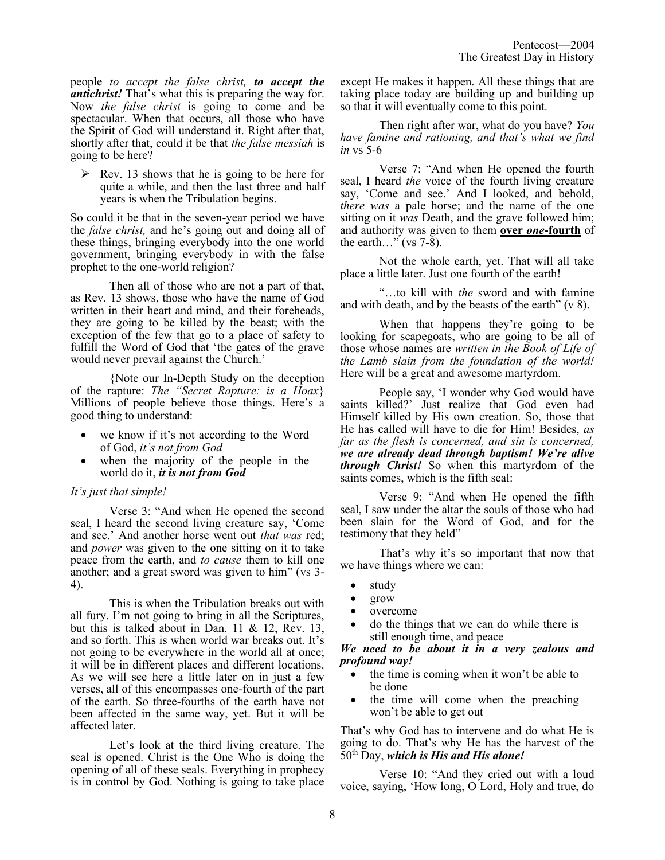people *to accept the false christ, to accept the antichrist!* That's what this is preparing the way for. Now *the false christ* is going to come and be spectacular. When that occurs, all those who have the Spirit of God will understand it. Right after that, shortly after that, could it be that *the false messiah* is going to be here?

 $\triangleright$  Rev. 13 shows that he is going to be here for quite a while, and then the last three and half years is when the Tribulation begins.

So could it be that in the seven-year period we have the *false christ,* and he's going out and doing all of these things, bringing everybody into the one world government, bringing everybody in with the false prophet to the one-world religion?

Then all of those who are not a part of that, as Rev. 13 shows, those who have the name of God written in their heart and mind, and their foreheads, they are going to be killed by the beast; with the exception of the few that go to a place of safety to fulfill the Word of God that 'the gates of the grave would never prevail against the Church.'

{Note our In-Depth Study on the deception of the rapture: *The "Secret Rapture: is a Hoax*} Millions of people believe those things. Here's a good thing to understand:

- we know if it's not according to the Word of God, *it's not from God*
- when the majority of the people in the world do it, *it is not from God*

# *It's just that simple!*

Verse 3: "And when He opened the second seal, I heard the second living creature say, 'Come and see.' And another horse went out *that was* red; and *power* was given to the one sitting on it to take peace from the earth, and *to cause* them to kill one another; and a great sword was given to him" (vs 3- 4).

This is when the Tribulation breaks out with all fury. I'm not going to bring in all the Scriptures, but this is talked about in Dan. 11 & 12, Rev. 13, and so forth. This is when world war breaks out. It's not going to be everywhere in the world all at once; it will be in different places and different locations. As we will see here a little later on in just a few verses, all of this encompasses one-fourth of the part of the earth. So three-fourths of the earth have not been affected in the same way, yet. But it will be affected later.

Let's look at the third living creature. The seal is opened. Christ is the One Who is doing the opening of all of these seals. Everything in prophecy is in control by God. Nothing is going to take place except He makes it happen. All these things that are taking place today are building up and building up so that it will eventually come to this point.

Then right after war, what do you have? *You have famine and rationing, and that's what we find in* vs 5-6

Verse 7: "And when He opened the fourth seal, I heard *the* voice of the fourth living creature say, 'Come and see.' And I looked, and behold, *there was* a pale horse; and the name of the one sitting on it *was* Death, and the grave followed him; and authority was given to them **over** *one***-fourth** of the earth…" (vs 7-8).

Not the whole earth, yet. That will all take place a little later. Just one fourth of the earth!

"…to kill with *the* sword and with famine and with death, and by the beasts of the earth" (v 8).

When that happens they're going to be looking for scapegoats, who are going to be all of those whose names are *written in the Book of Life of the Lamb slain from the foundation of the world!* Here will be a great and awesome martyrdom.

People say, 'I wonder why God would have saints killed?' Just realize that God even had Himself killed by His own creation. So, those that He has called will have to die for Him! Besides, *as far as the flesh is concerned, and sin is concerned, we are already dead through baptism! We're alive through Christ!* So when this martyrdom of the saints comes, which is the fifth seal:

Verse 9: "And when He opened the fifth seal, I saw under the altar the souls of those who had been slain for the Word of God, and for the testimony that they held"

That's why it's so important that now that we have things where we can:

- study
- grow
- overcome
- do the things that we can do while there is still enough time, and peace

*We need to be about it in a very zealous and profound way!* 

- the time is coming when it won't be able to be done
- the time will come when the preaching won't be able to get out

That's why God has to intervene and do what He is going to do. That's why He has the harvest of the 50th Day, *which is His and His alone!*

Verse 10: "And they cried out with a loud voice, saying, 'How long, O Lord, Holy and true, do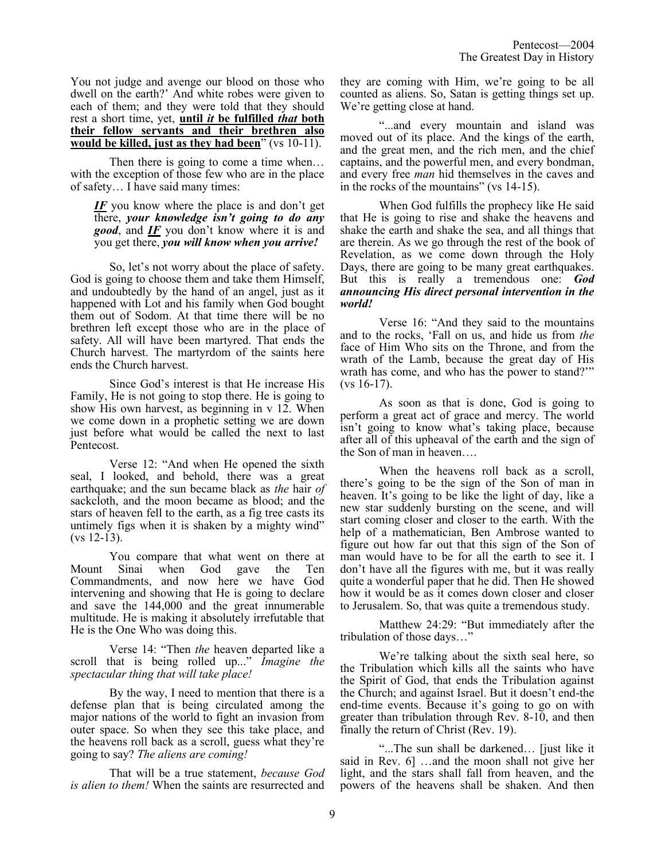You not judge and avenge our blood on those who dwell on the earth?' And white robes were given to each of them; and they were told that they should rest a short time, yet, **until** *it* **be fulfilled** *that* **both their fellow servants and their brethren also would be killed, just as they had been**" (vs 10-11).

Then there is going to come a time when... with the exception of those few who are in the place of safety… I have said many times:

## *IF* you know where the place is and don't get there, *your knowledge isn't going to do any good*, and *IF* you don't know where it is and you get there, *you will know when you arrive!*

So, let's not worry about the place of safety. God is going to choose them and take them Himself, and undoubtedly by the hand of an angel, just as it happened with Lot and his family when God bought them out of Sodom. At that time there will be no brethren left except those who are in the place of safety. All will have been martyred. That ends the Church harvest. The martyrdom of the saints here ends the Church harvest.

Since God's interest is that He increase His Family, He is not going to stop there. He is going to show His own harvest, as beginning in v 12. When we come down in a prophetic setting we are down just before what would be called the next to last Pentecost.

Verse 12: "And when He opened the sixth seal, I looked, and behold, there was a great earthquake; and the sun became black as *the* hair *of* sackcloth, and the moon became as blood; and the stars of heaven fell to the earth, as a fig tree casts its untimely figs when it is shaken by a mighty wind" (vs 12-13).

You compare that what went on there at<br>Sinai when God gave the Ten Mount Sinai when God gave Commandments, and now here we have God intervening and showing that He is going to declare and save the 144,000 and the great innumerable multitude. He is making it absolutely irrefutable that He is the One Who was doing this.

Verse 14: "Then *the* heaven departed like a scroll that is being rolled up..." *Imagine the spectacular thing that will take place!*

By the way, I need to mention that there is a defense plan that is being circulated among the major nations of the world to fight an invasion from outer space. So when they see this take place, and the heavens roll back as a scroll, guess what they're going to say? *The aliens are coming!*

That will be a true statement, *because God is alien to them!* When the saints are resurrected and they are coming with Him, we're going to be all counted as aliens. So, Satan is getting things set up. We're getting close at hand.

"...and every mountain and island was moved out of its place. And the kings of the earth, and the great men, and the rich men, and the chief captains, and the powerful men, and every bondman, and every free *man* hid themselves in the caves and in the rocks of the mountains" (vs 14-15).

When God fulfills the prophecy like He said that He is going to rise and shake the heavens and shake the earth and shake the sea, and all things that are therein. As we go through the rest of the book of Revelation, as we come down through the Holy Days, there are going to be many great earthquakes. But this is really a tremendous one: *God announcing His direct personal intervention in the world!*

Verse 16: "And they said to the mountains and to the rocks, 'Fall on us, and hide us from *the* face of Him Who sits on the Throne, and from the wrath of the Lamb, because the great day of His wrath has come, and who has the power to stand?'"  $(vs 16-17)$ .

As soon as that is done, God is going to perform a great act of grace and mercy. The world isn't going to know what's taking place, because after all of this upheaval of the earth and the sign of the Son of man in heaven….

When the heavens roll back as a scroll, there's going to be the sign of the Son of man in heaven. It's going to be like the light of day, like a new star suddenly bursting on the scene, and will start coming closer and closer to the earth. With the help of a mathematician, Ben Ambrose wanted to figure out how far out that this sign of the Son of man would have to be for all the earth to see it. I don't have all the figures with me, but it was really quite a wonderful paper that he did. Then He showed how it would be as it comes down closer and closer to Jerusalem. So, that was quite a tremendous study.

Matthew 24:29: "But immediately after the tribulation of those days…"

We're talking about the sixth seal here, so the Tribulation which kills all the saints who have the Spirit of God, that ends the Tribulation against the Church; and against Israel. But it doesn't end-the end-time events. Because it's going to go on with greater than tribulation through Rev. 8-10, and then finally the return of Christ (Rev. 19).

"...The sun shall be darkened… [just like it said in Rev. 6] …and the moon shall not give her light, and the stars shall fall from heaven, and the powers of the heavens shall be shaken. And then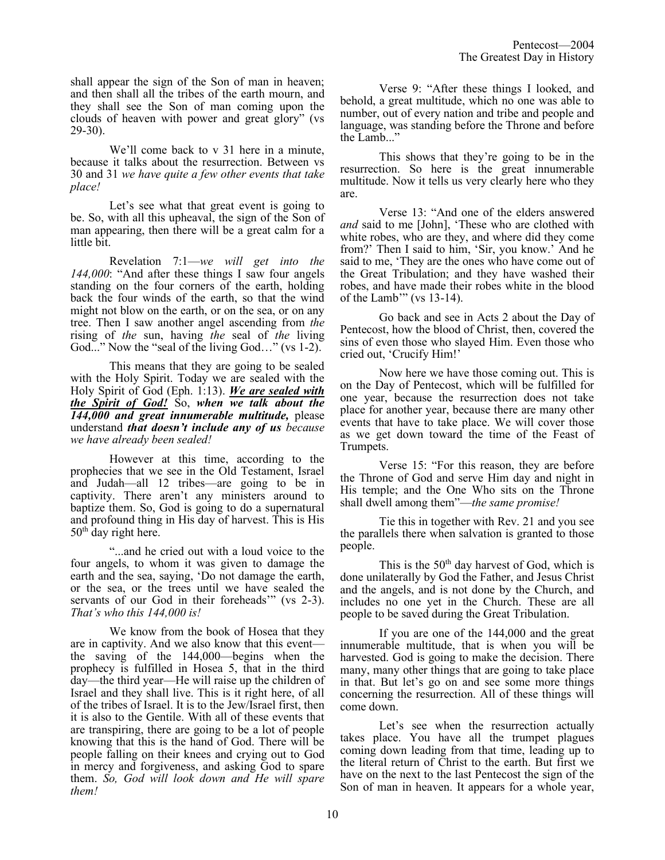shall appear the sign of the Son of man in heaven; and then shall all the tribes of the earth mourn, and they shall see the Son of man coming upon the clouds of heaven with power and great glory" (vs 29-30).

We'll come back to v 31 here in a minute, because it talks about the resurrection. Between vs 30 and 31 *we have quite a few other events that take place!*

Let's see what that great event is going to be. So, with all this upheaval, the sign of the Son of man appearing, then there will be a great calm for a little bit.

Revelation 7:1—*we will get into the 144,000*: "And after these things I saw four angels standing on the four corners of the earth, holding back the four winds of the earth, so that the wind might not blow on the earth, or on the sea, or on any tree. Then I saw another angel ascending from *the* rising of *the* sun, having *the* seal of *the* living God..." Now the "seal of the living God..." (vs 1-2).

This means that they are going to be sealed with the Holy Spirit. Today we are sealed with the Holy Spirit of God (Eph. 1:13). *We are sealed with the Spirit of God!* So, *when we talk about the 144,000 and great innumerable multitude,* please understand *that doesn't include any of us because we have already been sealed!*

However at this time, according to the prophecies that we see in the Old Testament, Israel and Judah—all 12 tribes—are going to be in captivity. There aren't any ministers around to baptize them. So, God is going to do a supernatural and profound thing in His day of harvest. This is His 50<sup>th</sup> day right here.

"...and he cried out with a loud voice to the four angels, to whom it was given to damage the earth and the sea, saying, 'Do not damage the earth, or the sea, or the trees until we have sealed the servants of our God in their foreheads" (vs 2-3). *That's who this 144,000 is!* 

We know from the book of Hosea that they are in captivity. And we also know that this event the saving of the 144,000—begins when the prophecy is fulfilled in Hosea 5, that in the third day—the third year—He will raise up the children of Israel and they shall live. This is it right here, of all of the tribes of Israel. It is to the Jew/Israel first, then it is also to the Gentile. With all of these events that are transpiring, there are going to be a lot of people knowing that this is the hand of God. There will be people falling on their knees and crying out to God in mercy and forgiveness, and asking God to spare them. *So, God will look down and He will spare them!*

Verse 9: "After these things I looked, and behold, a great multitude, which no one was able to number, out of every nation and tribe and people and language, was standing before the Throne and before the Lamb..."

This shows that they're going to be in the resurrection. So here is the great innumerable multitude. Now it tells us very clearly here who they are.

Verse 13: "And one of the elders answered *and* said to me [John], 'These who are clothed with white robes, who are they, and where did they come from?' Then I said to him, 'Sir, you know.' And he said to me, 'They are the ones who have come out of the Great Tribulation; and they have washed their robes, and have made their robes white in the blood of the Lamb'" (vs 13-14).

Go back and see in Acts 2 about the Day of Pentecost, how the blood of Christ, then, covered the sins of even those who slayed Him. Even those who cried out, 'Crucify Him!'

Now here we have those coming out. This is on the Day of Pentecost, which will be fulfilled for one year, because the resurrection does not take place for another year, because there are many other events that have to take place. We will cover those as we get down toward the time of the Feast of Trumpets.

Verse 15: "For this reason, they are before the Throne of God and serve Him day and night in His temple; and the One Who sits on the Throne shall dwell among them"—*the same promise!* 

Tie this in together with Rev. 21 and you see the parallels there when salvation is granted to those people.

This is the 50<sup>th</sup> day harvest of God, which is done unilaterally by God the Father, and Jesus Christ and the angels, and is not done by the Church, and includes no one yet in the Church. These are all people to be saved during the Great Tribulation.

If you are one of the 144,000 and the great innumerable multitude, that is when you will be harvested. God is going to make the decision. There many, many other things that are going to take place in that. But let's go on and see some more things concerning the resurrection. All of these things will come down.

Let's see when the resurrection actually takes place. You have all the trumpet plagues coming down leading from that time, leading up to the literal return of Christ to the earth. But first we have on the next to the last Pentecost the sign of the Son of man in heaven. It appears for a whole year,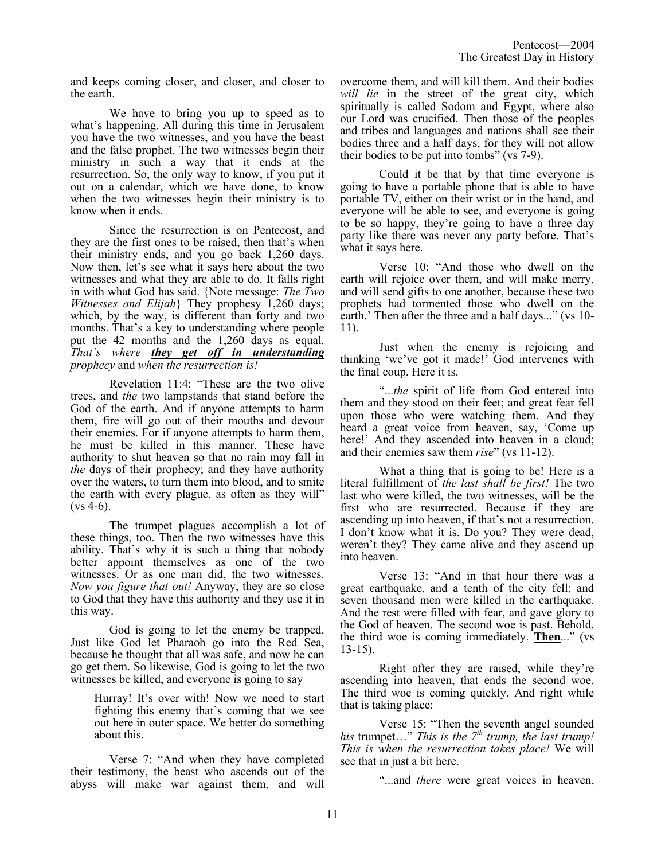and keeps coming closer, and closer, and closer to the earth.

We have to bring you up to speed as to what's happening. All during this time in Jerusalem you have the two witnesses, and you have the beast and the false prophet. The two witnesses begin their ministry in such a way that it ends at the resurrection. So, the only way to know, if you put it out on a calendar, which we have done, to know when the two witnesses begin their ministry is to know when it ends.

Since the resurrection is on Pentecost, and they are the first ones to be raised, then that's when their ministry ends, and you go back 1,260 days. Now then, let's see what it says here about the two witnesses and what they are able to do. It falls right in with what God has said. {Note message: *The Two Witnesses and Elijah*} They prophesy 1,260 days; which, by the way, is different than forty and two months. That's a key to understanding where people put the 42 months and the 1,260 days as equal. *That's where they get off in understanding prophecy* and *when the resurrection is!*

Revelation 11:4: "These are the two olive trees, and *the* two lampstands that stand before the God of the earth. And if anyone attempts to harm them, fire will go out of their mouths and devour their enemies. For if anyone attempts to harm them, he must be killed in this manner. These have authority to shut heaven so that no rain may fall in *the* days of their prophecy; and they have authority over the waters, to turn them into blood, and to smite the earth with every plague, as often as they will"  $(vs 4-6)$ .

The trumpet plagues accomplish a lot of these things, too. Then the two witnesses have this ability. That's why it is such a thing that nobody better appoint themselves as one of the two witnesses. Or as one man did, the two witnesses. *Now you figure that out!* Anyway, they are so close to God that they have this authority and they use it in this way.

God is going to let the enemy be trapped. Just like God let Pharaoh go into the Red Sea, because he thought that all was safe, and now he can go get them. So likewise, God is going to let the two witnesses be killed, and everyone is going to say

Hurray! It's over with! Now we need to start fighting this enemy that's coming that we see out here in outer space. We better do something about this.

Verse 7: "And when they have completed their testimony, the beast who ascends out of the abyss will make war against them, and will overcome them, and will kill them. And their bodies *will lie* in the street of the great city, which spiritually is called Sodom and Egypt, where also our Lord was crucified. Then those of the peoples and tribes and languages and nations shall see their bodies three and a half days, for they will not allow their bodies to be put into tombs" (vs 7-9).

Could it be that by that time everyone is going to have a portable phone that is able to have portable TV, either on their wrist or in the hand, and everyone will be able to see, and everyone is going to be so happy, they're going to have a three day party like there was never any party before. That's what it says here.

Verse 10: "And those who dwell on the earth will rejoice over them, and will make merry, and will send gifts to one another, because these two prophets had tormented those who dwell on the earth.' Then after the three and a half days..." (vs 10- 11).

Just when the enemy is rejoicing and thinking 'we've got it made!' God intervenes with the final coup. Here it is.

"...*the* spirit of life from God entered into them and they stood on their feet; and great fear fell upon those who were watching them. And they heard a great voice from heaven, say, 'Come up here!' And they ascended into heaven in a cloud; and their enemies saw them *rise*" (vs 11-12).

What a thing that is going to be! Here is a literal fulfillment of *the last shall be first!* The two last who were killed, the two witnesses, will be the first who are resurrected. Because if they are ascending up into heaven, if that's not a resurrection, I don't know what it is. Do you? They were dead, weren't they? They came alive and they ascend up into heaven.

Verse 13: "And in that hour there was a great earthquake, and a tenth of the city fell; and seven thousand men were killed in the earthquake. And the rest were filled with fear, and gave glory to the God of heaven. The second woe is past. Behold, the third woe is coming immediately. **Then**..." (vs 13-15).

Right after they are raised, while they're ascending into heaven, that ends the second woe. The third woe is coming quickly. And right while that is taking place:

Verse 15: "Then the seventh angel sounded *his* trumpet…" *This is the 7th trump, the last trump! This is when the resurrection takes place!* We will see that in just a bit here.

"...and *there* were great voices in heaven,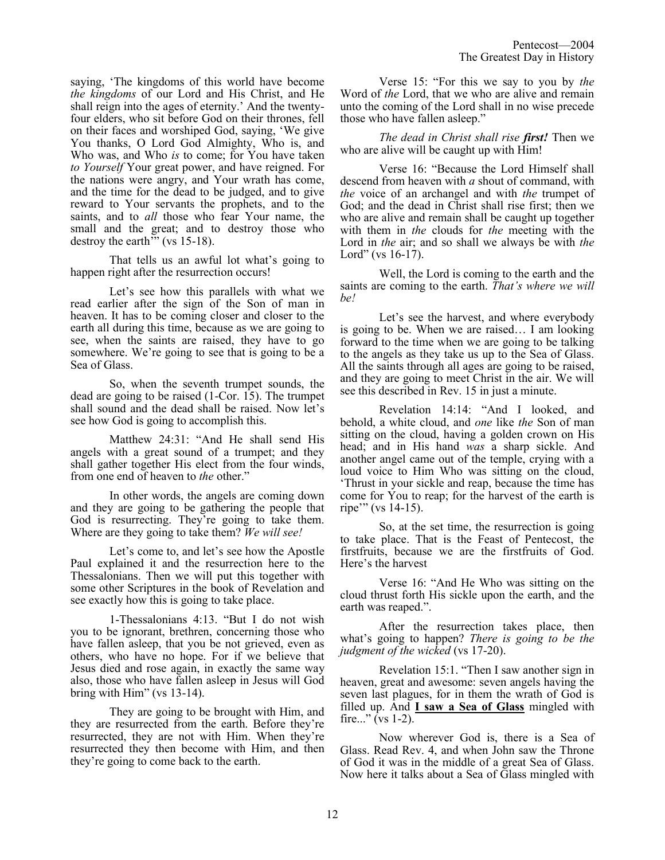saying, 'The kingdoms of this world have become *the kingdoms* of our Lord and His Christ, and He shall reign into the ages of eternity.' And the twentyfour elders, who sit before God on their thrones, fell on their faces and worshiped God, saying, 'We give You thanks, O Lord God Almighty, Who is, and Who was, and Who *is* to come; for You have taken *to Yourself* Your great power, and have reigned. For the nations were angry, and Your wrath has come, and the time for the dead to be judged, and to give reward to Your servants the prophets, and to the saints, and to *all* those who fear Your name, the small and the great; and to destroy those who destroy the earth $\dddot{m}$  (vs 15-18).

That tells us an awful lot what's going to happen right after the resurrection occurs!

Let's see how this parallels with what we read earlier after the sign of the Son of man in heaven. It has to be coming closer and closer to the earth all during this time, because as we are going to see, when the saints are raised, they have to go somewhere. We're going to see that is going to be a Sea of Glass.

So, when the seventh trumpet sounds, the dead are going to be raised (1-Cor. 15). The trumpet shall sound and the dead shall be raised. Now let's see how God is going to accomplish this.

Matthew 24:31: "And He shall send His angels with a great sound of a trumpet; and they shall gather together His elect from the four winds, from one end of heaven to *the* other."

In other words, the angels are coming down and they are going to be gathering the people that God is resurrecting. They're going to take them. Where are they going to take them? *We will see!*

Let's come to, and let's see how the Apostle Paul explained it and the resurrection here to the Thessalonians. Then we will put this together with some other Scriptures in the book of Revelation and see exactly how this is going to take place.

1-Thessalonians 4:13. "But I do not wish you to be ignorant, brethren, concerning those who have fallen asleep, that you be not grieved, even as others, who have no hope. For if we believe that Jesus died and rose again, in exactly the same way also, those who have fallen asleep in Jesus will God bring with Him" (vs 13-14).

They are going to be brought with Him, and they are resurrected from the earth. Before they're resurrected, they are not with Him. When they're resurrected they then become with Him, and then they're going to come back to the earth.

Verse 15: "For this we say to you by *the* Word of *the* Lord, that we who are alive and remain unto the coming of the Lord shall in no wise precede those who have fallen asleep."

*The dead in Christ shall rise first!* Then we who are alive will be caught up with Him!

Verse 16: "Because the Lord Himself shall descend from heaven with *a* shout of command, with *the* voice of an archangel and with *the* trumpet of God; and the dead in Christ shall rise first; then we who are alive and remain shall be caught up together with them in *the* clouds for *the* meeting with the Lord in *the* air; and so shall we always be with *the* Lord" (vs  $16-17$ ).

Well, the Lord is coming to the earth and the saints are coming to the earth. *That's where we will be!*

Let's see the harvest, and where everybody is going to be. When we are raised… I am looking forward to the time when we are going to be talking to the angels as they take us up to the Sea of Glass. All the saints through all ages are going to be raised, and they are going to meet Christ in the air. We will see this described in Rev. 15 in just a minute.

Revelation 14:14: "And I looked, and behold, a white cloud, and *one* like *the* Son of man sitting on the cloud, having a golden crown on His head; and in His hand *was* a sharp sickle. And another angel came out of the temple, crying with a loud voice to Him Who was sitting on the cloud, 'Thrust in your sickle and reap, because the time has come for You to reap; for the harvest of the earth is ripe'" (vs 14-15).

So, at the set time, the resurrection is going to take place. That is the Feast of Pentecost, the firstfruits, because we are the firstfruits of God. Here's the harvest

Verse 16: "And He Who was sitting on the cloud thrust forth His sickle upon the earth, and the earth was reaped.".

After the resurrection takes place, then what's going to happen? *There is going to be the judgment of the wicked* (vs 17-20).

Revelation 15:1. "Then I saw another sign in heaven, great and awesome: seven angels having the seven last plagues, for in them the wrath of God is filled up. And **I saw a Sea of Glass** mingled with fire..." (vs  $1-2$ ).

Now wherever God is, there is a Sea of Glass. Read Rev. 4, and when John saw the Throne of God it was in the middle of a great Sea of Glass. Now here it talks about a Sea of Glass mingled with